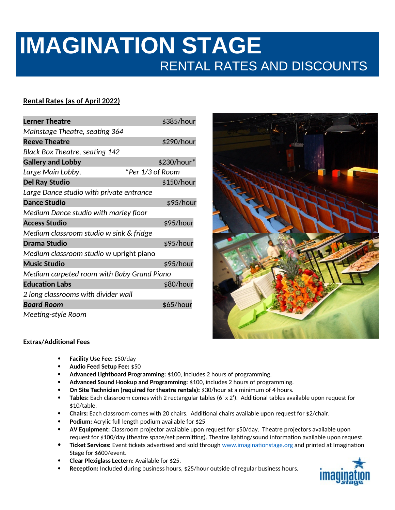# **IMAGINATION STAGE** RENTAL RATES AND DISCOUNTS

## **Rental Rates (as of April 2022)**

| <b>Lerner Theatre</b>                      | \$385/hour       |
|--------------------------------------------|------------------|
| Mainstage Theatre, seating 364             |                  |
| <b>Reeve Theatre</b>                       | \$290/hour       |
| <b>Black Box Theatre, seating 142</b>      |                  |
| <b>Gallery and Lobby</b>                   | \$230/hour*      |
| Large Main Lobby,                          | *Per 1/3 of Room |
| <b>Del Ray Studio</b>                      | \$150/hour       |
| Large Dance studio with private entrance   |                  |
| <b>Dance Studio</b>                        | \$95/hour        |
| Medium Dance studio with marley floor      |                  |
| <b>Access Studio</b>                       | \$95/hour        |
| Medium classroom studio w sink & fridge    |                  |
| <b>Drama Studio</b>                        | \$95/hour        |
| Medium classroom studio w upright piano    |                  |
| <b>Music Studio</b>                        | \$95/hour        |
| Medium carpeted room with Baby Grand Piano |                  |
| <b>Education Labs</b>                      | \$80/hour        |
| 2 long classrooms with divider wall        |                  |
| <b>Board Room</b>                          | \$65/hour        |
| Meeting-style Room                         |                  |



### **Extras/Additional Fees**

- **Facility Use Fee:** \$50/day
- **Audio Feed Setup Fee:** \$50
- **Advanced Lightboard Programming:** \$100, includes 2 hours of programming.
- **Advanced Sound Hookup and Programming:** \$100, includes 2 hours of programming.
- **On Site Technician (required for theatre rentals):** \$30/hour at a minimum of 4 hours.
- **Tables:** Each classroom comes with 2 rectangular tables (6' x 2'). Additional tables available upon request for \$10/table.
- **Chairs:** Each classroom comes with 20 chairs. Additional chairs available upon request for \$2/chair.
- **Podium:** Acrylic full length podium available for \$25
- **AV Equipment:** Classroom projector available upon request for \$50/day. Theatre projectors available upon request for \$100/day (theatre space/set permitting). Theatre lighting/sound information available upon request.
- **Ticket Services:** Event tickets advertised and sold through [www.imaginationstage.org](http://www.imaginationstage.org/) and printed at Imagination Stage for \$600/event.
- **Clear Plexiglass Lectern:** Available for \$25.
- **Reception:** Included during business hours, \$25/hour outside of regular business hours.